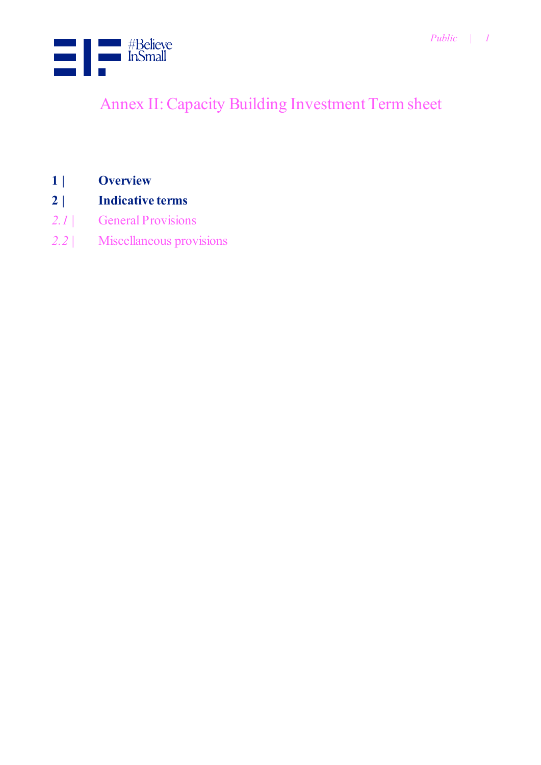

# Annex II: Capacity Building Investment Term sheet

- **1 | Overview**
- **2 | Indicative terms**
- *2.1 |* [General Provisions](#page-2-0)
- *2.2 |* [Miscellaneous provisions](#page-4-0)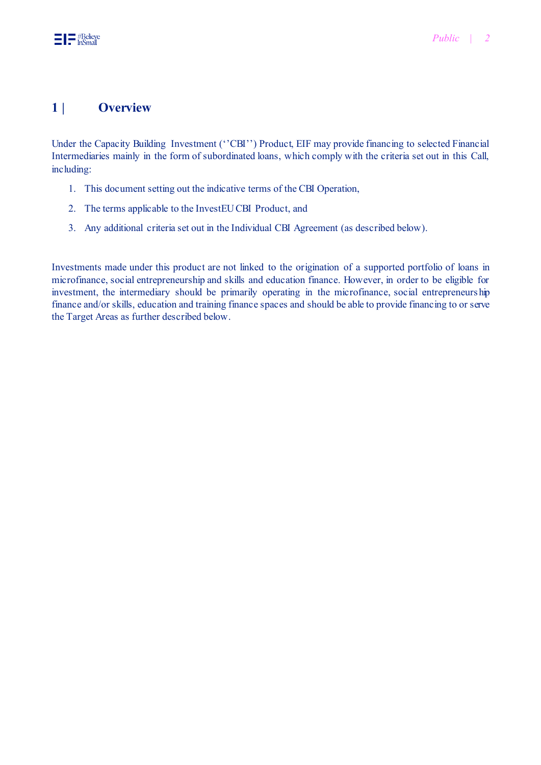#### **1 | Overview**

Under the Capacity Building Investment (''CBI'') Product, EIF may provide financing to selected Financial Intermediaries mainly in the form of subordinated loans, which comply with the criteria set out in this Call, including:

- 1. This document setting out the indicative terms of the CBI Operation,
- 2. The terms applicable to the InvestEU CBI Product, and
- 3. Any additional criteria set out in the Individual CBI Agreement (as described below).

Investments made under this product are not linked to the origination of a supported portfolio of loans in microfinance, social entrepreneurship and skills and education finance. However, in order to be eligible for investment, the intermediary should be primarily operating in the microfinance, social entrepreneurs hip finance and/or skills, education and training finance spaces and should be able to provide financing to or serve the Target Areas as further described below.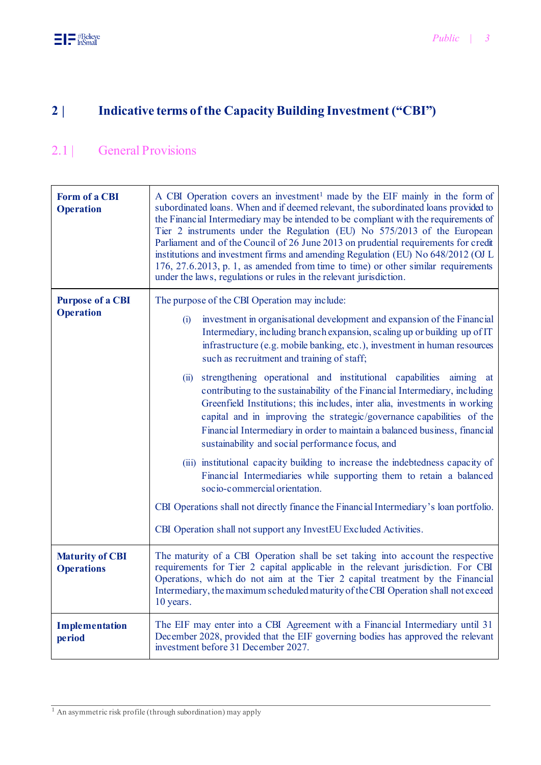## **2 | Indicative terms of the Capacity Building Investment ("CBI")**

#### <span id="page-2-0"></span>2.1 | General Provisions

| <b>Form of a CBI</b><br><b>Operation</b>    | A CBI Operation covers an investment <sup>1</sup> made by the EIF mainly in the form of<br>subordinated loans. When and if deemed relevant, the subordinated loans provided to<br>the Financial Intermediary may be intended to be compliant with the requirements of<br>Tier 2 instruments under the Regulation (EU) No 575/2013 of the European<br>Parliament and of the Council of 26 June 2013 on prudential requirements for credit<br>institutions and investment firms and amending Regulation (EU) No 648/2012 (OJ L<br>176, 27.6.2013, p. 1, as amended from time to time) or other similar requirements<br>under the laws, regulations or rules in the relevant jurisdiction.                                                                                                                                                                                                                                                                                                                                                                                                                                                                   |  |
|---------------------------------------------|-----------------------------------------------------------------------------------------------------------------------------------------------------------------------------------------------------------------------------------------------------------------------------------------------------------------------------------------------------------------------------------------------------------------------------------------------------------------------------------------------------------------------------------------------------------------------------------------------------------------------------------------------------------------------------------------------------------------------------------------------------------------------------------------------------------------------------------------------------------------------------------------------------------------------------------------------------------------------------------------------------------------------------------------------------------------------------------------------------------------------------------------------------------|--|
| <b>Purpose of a CBI</b><br><b>Operation</b> | The purpose of the CBI Operation may include:<br>investment in organisational development and expansion of the Financial<br>(i)<br>Intermediary, including branch expansion, scaling up or building up of IT<br>infrastructure (e.g. mobile banking, etc.), investment in human resources<br>such as recruitment and training of staff;<br>strengthening operational and institutional capabilities<br>aiming at<br>(ii)<br>contributing to the sustainability of the Financial Intermediary, including<br>Greenfield Institutions; this includes, inter alia, investments in working<br>capital and in improving the strategic/governance capabilities of the<br>Financial Intermediary in order to maintain a balanced business, financial<br>sustainability and social performance focus, and<br>(iii) institutional capacity building to increase the indebtedness capacity of<br>Financial Intermediaries while supporting them to retain a balanced<br>socio-commercial orientation.<br>CBI Operations shall not directly finance the Financial Intermediary's loan portfolio.<br>CBI Operation shall not support any InvestEU Excluded Activities. |  |
| <b>Maturity of CBI</b><br><b>Operations</b> | The maturity of a CBI Operation shall be set taking into account the respective<br>requirements for Tier 2 capital applicable in the relevant jurisdiction. For CBI<br>Operations, which do not aim at the Tier 2 capital treatment by the Financial<br>Intermediary, the maximum scheduled maturity of the CBI Operation shall not exceed<br>10 years.                                                                                                                                                                                                                                                                                                                                                                                                                                                                                                                                                                                                                                                                                                                                                                                                   |  |
| <b>Implementation</b><br>period             | The EIF may enter into a CBI Agreement with a Financial Intermediary until 31<br>December 2028, provided that the EIF governing bodies has approved the relevant<br>investment before 31 December 2027.                                                                                                                                                                                                                                                                                                                                                                                                                                                                                                                                                                                                                                                                                                                                                                                                                                                                                                                                                   |  |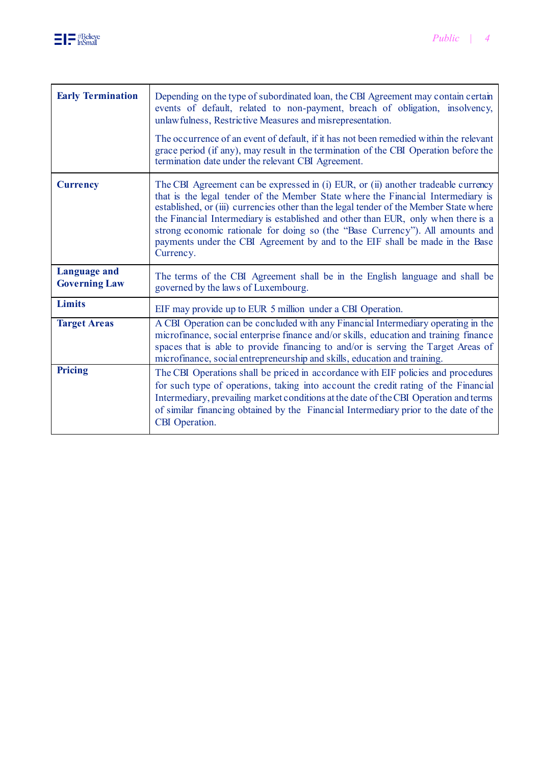

| <b>Early Termination</b>                    | Depending on the type of subordinated loan, the CBI Agreement may contain certain<br>events of default, related to non-payment, breach of obligation, insolvency,<br>unlawfulness, Restrictive Measures and misrepresentation.<br>The occurrence of an event of default, if it has not been remedied within the relevant<br>grace period (if any), may result in the termination of the CBI Operation before the<br>termination date under the relevant CBI Agreement.                                                              |
|---------------------------------------------|-------------------------------------------------------------------------------------------------------------------------------------------------------------------------------------------------------------------------------------------------------------------------------------------------------------------------------------------------------------------------------------------------------------------------------------------------------------------------------------------------------------------------------------|
| <b>Currency</b>                             | The CBI Agreement can be expressed in (i) EUR, or (ii) another tradeable currency<br>that is the legal tender of the Member State where the Financial Intermediary is<br>established, or (iii) currencies other than the legal tender of the Member State where<br>the Financial Intermediary is established and other than EUR, only when there is a<br>strong economic rationale for doing so (the "Base Currency"). All amounts and<br>payments under the CBI Agreement by and to the EIF shall be made in the Base<br>Currency. |
| <b>Language and</b><br><b>Governing Law</b> | The terms of the CBI Agreement shall be in the English language and shall be<br>governed by the laws of Luxembourg.                                                                                                                                                                                                                                                                                                                                                                                                                 |
| <b>Limits</b>                               | EIF may provide up to EUR 5 million under a CBI Operation.                                                                                                                                                                                                                                                                                                                                                                                                                                                                          |
| <b>Target Areas</b>                         | A CBI Operation can be concluded with any Financial Intermediary operating in the<br>microfinance, social enterprise finance and/or skills, education and training finance<br>spaces that is able to provide financing to and/or is serving the Target Areas of<br>microfinance, social entrepreneurship and skills, education and training.                                                                                                                                                                                        |
| <b>Pricing</b>                              | The CBI Operations shall be priced in accordance with EIF policies and procedures<br>for such type of operations, taking into account the credit rating of the Financial<br>Intermediary, prevailing market conditions at the date of the CBI Operation and terms<br>of similar financing obtained by the Financial Intermediary prior to the date of the<br>CBI Operation.                                                                                                                                                         |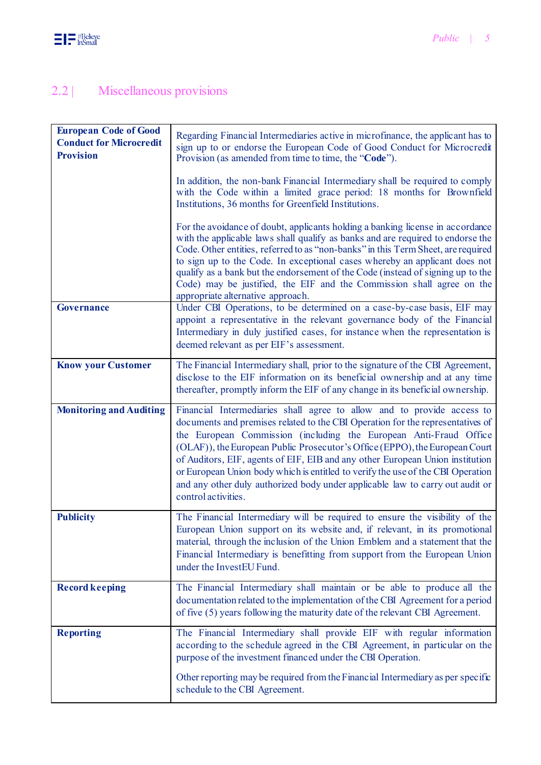## <span id="page-4-0"></span>2.2 | Miscellaneous provisions

| <b>European Code of Good</b><br><b>Conduct for Microcredit</b><br><b>Provision</b> | Regarding Financial Intermediaries active in microfinance, the applicant has to<br>sign up to or endorse the European Code of Good Conduct for Microcredit<br>Provision (as amended from time to time, the "Code").                                                                                                                                                                                                                                                                                                                                                                      |
|------------------------------------------------------------------------------------|------------------------------------------------------------------------------------------------------------------------------------------------------------------------------------------------------------------------------------------------------------------------------------------------------------------------------------------------------------------------------------------------------------------------------------------------------------------------------------------------------------------------------------------------------------------------------------------|
|                                                                                    | In addition, the non-bank Financial Intermediary shall be required to comply<br>with the Code within a limited grace period: 18 months for Brownfield<br>Institutions, 36 months for Greenfield Institutions.                                                                                                                                                                                                                                                                                                                                                                            |
|                                                                                    | For the avoidance of doubt, applicants holding a banking license in accordance<br>with the applicable laws shall qualify as banks and are required to endorse the<br>Code. Other entities, referred to as "non-banks" in this Term Sheet, are required<br>to sign up to the Code. In exceptional cases whereby an applicant does not<br>qualify as a bank but the endorsement of the Code (instead of signing up to the<br>Code) may be justified, the EIF and the Commission shall agree on the<br>appropriate alternative approach.                                                    |
| <b>Governance</b>                                                                  | Under CBI Operations, to be determined on a case-by-case basis, EIF may<br>appoint a representative in the relevant governance body of the Financial<br>Intermediary in duly justified cases, for instance when the representation is<br>deemed relevant as per EIF's assessment.                                                                                                                                                                                                                                                                                                        |
| <b>Know your Customer</b>                                                          | The Financial Intermediary shall, prior to the signature of the CBI Agreement,<br>disclose to the EIF information on its beneficial ownership and at any time<br>thereafter, promptly inform the EIF of any change in its beneficial ownership.                                                                                                                                                                                                                                                                                                                                          |
| <b>Monitoring and Auditing</b>                                                     | Financial Intermediaries shall agree to allow and to provide access to<br>documents and premises related to the CBI Operation for the representatives of<br>the European Commission (including the European Anti-Fraud Office<br>(OLAF)), the European Public Prosecutor's Office (EPPO), the European Court<br>of Auditors, EIF, agents of EIF, EIB and any other European Union institution<br>or European Union body which is entitled to verify the use of the CBI Operation<br>and any other duly authorized body under applicable law to carry out audit or<br>control activities. |
| <b>Publicity</b>                                                                   | The Financial Intermediary will be required to ensure the visibility of the<br>European Union support on its website and, if relevant, in its promotional<br>material, through the inclusion of the Union Emblem and a statement that the<br>Financial Intermediary is benefitting from support from the European Union<br>under the InvestEU Fund.                                                                                                                                                                                                                                      |
| <b>Record keeping</b>                                                              | The Financial Intermediary shall maintain or be able to produce all the<br>documentation related to the implementation of the CBI Agreement for a period<br>of five (5) years following the maturity date of the relevant CBI Agreement.                                                                                                                                                                                                                                                                                                                                                 |
| <b>Reporting</b>                                                                   | The Financial Intermediary shall provide EIF with regular information<br>according to the schedule agreed in the CBI Agreement, in particular on the<br>purpose of the investment financed under the CBI Operation.                                                                                                                                                                                                                                                                                                                                                                      |
|                                                                                    | Other reporting may be required from the Financial Intermediary as per specific<br>schedule to the CBI Agreement.                                                                                                                                                                                                                                                                                                                                                                                                                                                                        |